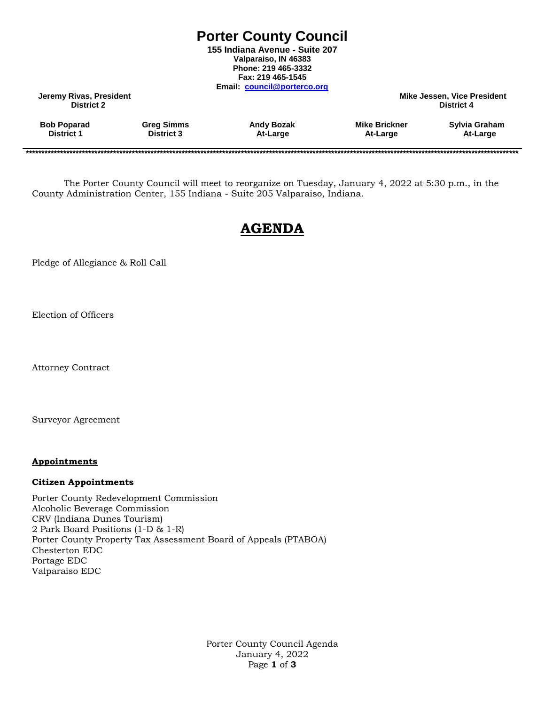## **Porter County Council**

**155 Indiana Avenue - Suite 207 Valparaiso, IN 46383 Phone: 219 465-3332 Fax: 219 465-1545 Email: [council@porterco.org](mailto:council@porterco.org)**

**Jeremy Rivas, President Mike Jessen, Vice President District 2 District 4**

| District 1<br><b>District 3</b><br>At-Large<br>At-Large<br>At-Large | <b>Bob Poparad</b> | <b>Greg Simms</b> | <b>Andy Bozak</b> | <b>Mike Brickner</b> | Sylvia Graham |
|---------------------------------------------------------------------|--------------------|-------------------|-------------------|----------------------|---------------|
|---------------------------------------------------------------------|--------------------|-------------------|-------------------|----------------------|---------------|

**\*\*\*\*\*\*\*\*\*\*\*\*\*\*\*\*\*\*\*\*\*\*\*\*\*\*\*\*\*\*\*\*\*\*\*\*\*\*\*\*\*\*\*\*\*\*\*\*\*\*\*\*\*\*\*\*\*\*\*\*\*\*\*\*\*\*\*\*\*\*\*\*\*\*\*\*\*\*\*\*\*\*\*\*\*\*\*\*\*\*\*\*\*\*\*\*\*\*\*\*\*\*\*\*\*\*\*\*\*\*\*\*\*\*\*\*\*\*\*\*\*\*\*\*\*\*\*\*\*\*\*\*\*\*\*\*\*\*\*\*\*\*\*\*\*\*\*\*\*\*\*\*\*\*\*\*\*\***

The Porter County Council will meet to reorganize on Tuesday, January 4, 2022 at 5:30 p.m., in the County Administration Center, 155 Indiana - Suite 205 Valparaiso, Indiana.

# **AGENDA**

Pledge of Allegiance & Roll Call

Election of Officers

Attorney Contract

Surveyor Agreement

#### **Appointments**

#### **Citizen Appointments**

Porter County Redevelopment Commission Alcoholic Beverage Commission CRV (Indiana Dunes Tourism) 2 Park Board Positions (1-D & 1-R) Porter County Property Tax Assessment Board of Appeals (PTABOA) Chesterton EDC Portage EDC Valparaiso EDC

> Porter County Council Agenda January 4, 2022 Page **1** of **3**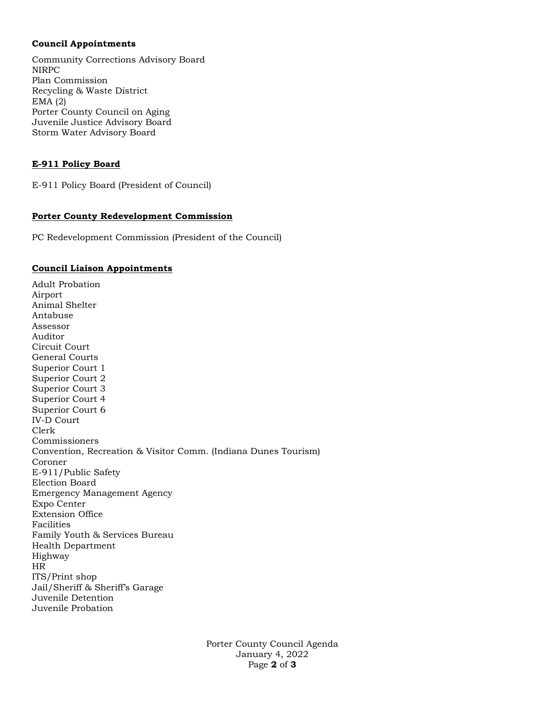#### **Council Appointments**

Community Corrections Advisory Board NIRPC Plan Commission Recycling & Waste District EMA (2) Porter County Council on Aging Juvenile Justice Advisory Board Storm Water Advisory Board

## **E-911 Policy Board**

E-911 Policy Board (President of Council)

#### **Porter County Redevelopment Commission**

PC Redevelopment Commission (President of the Council)

#### **Council Liaison Appointments**

Adult Probation Airport Animal Shelter Antabuse Assessor Auditor Circuit Court General Courts Superior Court 1 Superior Court 2 Superior Court 3 Superior Court 4 Superior Court 6 IV-D Court Clerk Commissioners Convention, Recreation & Visitor Comm. (Indiana Dunes Tourism) Coroner E-911/Public Safety Election Board Emergency Management Agency Expo Center Extension Office Facilities Family Youth & Services Bureau Health Department Highway HR ITS/Print shop Jail/Sheriff & Sheriff's Garage Juvenile Detention Juvenile Probation

> Porter County Council Agenda January 4, 2022 Page **2** of **3**